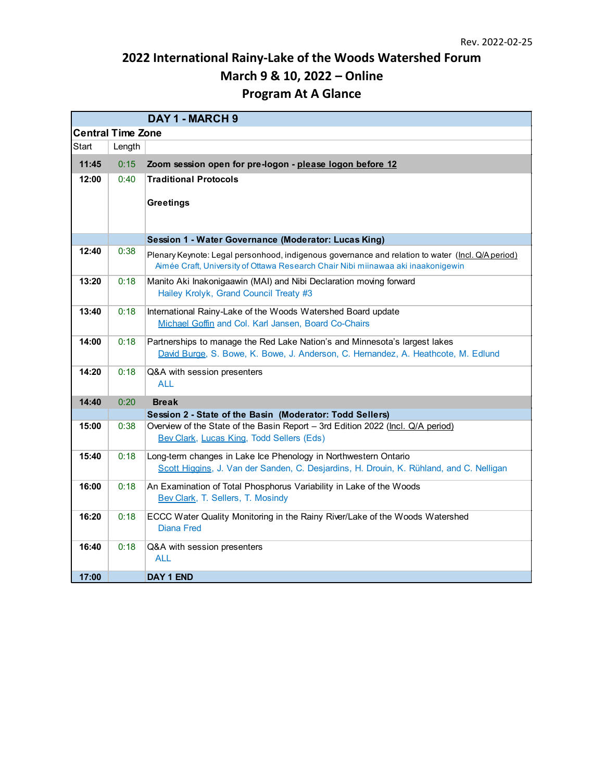## **2022 International Rainy-Lake of the Woods Watershed Forum March 9 & 10, 2022 – Online Program At A Glance**

|                          |        | DAY 1 - MARCH 9                                                                                  |  |  |  |
|--------------------------|--------|--------------------------------------------------------------------------------------------------|--|--|--|
| <b>Central Time Zone</b> |        |                                                                                                  |  |  |  |
| Start                    | Length |                                                                                                  |  |  |  |
| 11:45                    | 0:15   | Zoom session open for pre-logon - please logon before 12                                         |  |  |  |
| 12:00                    | 0:40   | <b>Traditional Protocols</b>                                                                     |  |  |  |
|                          |        |                                                                                                  |  |  |  |
|                          |        | <b>Greetings</b>                                                                                 |  |  |  |
|                          |        |                                                                                                  |  |  |  |
|                          |        | Session 1 - Water Governance (Moderator: Lucas King)                                             |  |  |  |
| 12:40                    | 0:38   | Plenary Keynote: Legal personhood, indigenous governance and relation to water (Incl. Q/Aperiod) |  |  |  |
|                          |        | Aimée Craft, University of Ottawa Research Chair Nibi miinawaa aki inaakonigewin                 |  |  |  |
| 13:20                    | 0:18   | Manito Aki Inakonigaawin (MAI) and Nibi Declaration moving forward                               |  |  |  |
|                          |        | Hailey Krolyk, Grand Council Treaty #3                                                           |  |  |  |
| 13:40                    | 0:18   | International Rainy-Lake of the Woods Watershed Board update                                     |  |  |  |
|                          |        | Michael Goffin and Col. Karl Jansen, Board Co-Chairs                                             |  |  |  |
| 14:00                    | 0:18   | Partnerships to manage the Red Lake Nation's and Minnesota's largest lakes                       |  |  |  |
|                          |        | David Burge, S. Bowe, K. Bowe, J. Anderson, C. Hernandez, A. Heathcote, M. Edlund                |  |  |  |
| 14:20                    | 0:18   | Q&A with session presenters                                                                      |  |  |  |
|                          |        | <b>ALL</b>                                                                                       |  |  |  |
| 14:40                    | 0:20   | <b>Break</b>                                                                                     |  |  |  |
|                          |        | Session 2 - State of the Basin (Moderator: Todd Sellers)                                         |  |  |  |
| 15:00                    | 0:38   | Overview of the State of the Basin Report - 3rd Edition 2022 (Incl. Q/A period)                  |  |  |  |
|                          |        | Bev Clark, Lucas King, Todd Sellers (Eds)                                                        |  |  |  |
| 15:40                    | 0:18   | Long-term changes in Lake Ice Phenology in Northwestern Ontario                                  |  |  |  |
|                          |        | Scott Higgins, J. Van der Sanden, C. Desjardins, H. Drouin, K. Rühland, and C. Nelligan          |  |  |  |
| 16:00                    | 0:18   | An Examination of Total Phosphorus Variability in Lake of the Woods                              |  |  |  |
|                          |        | Bev Clark, T. Sellers, T. Mosindy                                                                |  |  |  |
| 16:20                    | 0:18   | ECCC Water Quality Monitoring in the Rainy River/Lake of the Woods Watershed                     |  |  |  |
|                          |        | <b>Diana Fred</b>                                                                                |  |  |  |
| 16:40                    | 0:18   | Q&A with session presenters                                                                      |  |  |  |
|                          |        | <b>ALL</b>                                                                                       |  |  |  |
| 17:00                    |        | DAY 1 END                                                                                        |  |  |  |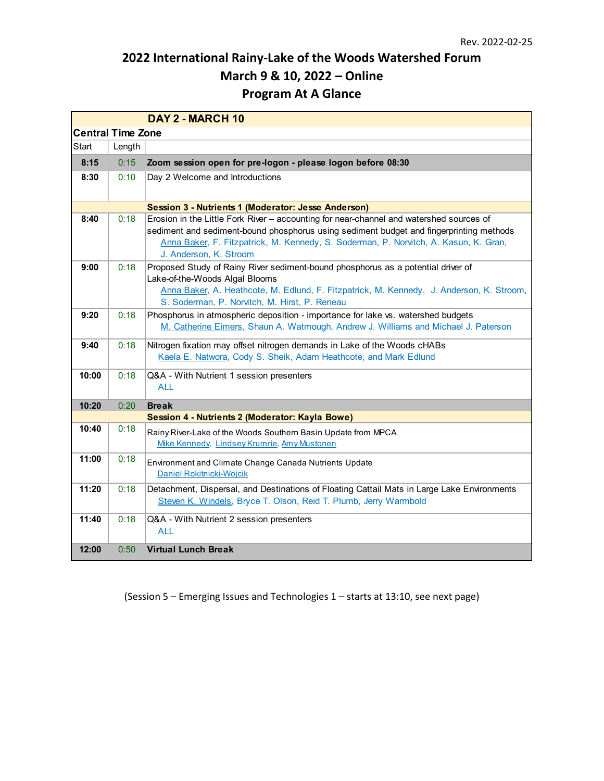## **2022 International Rainy-Lake of the Woods Watershed Forum March 9 & 10, 2022 – Online Program At A Glance**

|                          |                                                     | DAY 2 - MARCH 10                                                                                                                                                                                                                                                                                     |  |  |  |  |  |
|--------------------------|-----------------------------------------------------|------------------------------------------------------------------------------------------------------------------------------------------------------------------------------------------------------------------------------------------------------------------------------------------------------|--|--|--|--|--|
| <b>Central Time Zone</b> |                                                     |                                                                                                                                                                                                                                                                                                      |  |  |  |  |  |
| Start                    | Length                                              |                                                                                                                                                                                                                                                                                                      |  |  |  |  |  |
| 8:15                     | 0:15                                                | Zoom session open for pre-logon - please logon before 08:30                                                                                                                                                                                                                                          |  |  |  |  |  |
| 8:30                     | 0:10                                                | Day 2 Welcome and Introductions                                                                                                                                                                                                                                                                      |  |  |  |  |  |
|                          | Session 3 - Nutrients 1 (Moderator: Jesse Anderson) |                                                                                                                                                                                                                                                                                                      |  |  |  |  |  |
| 8:40                     | 0:18                                                | Erosion in the Little Fork River - accounting for near-channel and watershed sources of<br>sediment and sediment-bound phosphorus using sediment budget and fingerprinting methods<br>Anna Baker, F. Fitzpatrick, M. Kennedy, S. Soderman, P. Norvitch, A. Kasun, K. Gran,<br>J. Anderson, K. Stroom |  |  |  |  |  |
| 9:00                     | 0:18                                                | Proposed Study of Rainy River sediment-bound phosphorus as a potential driver of<br>Lake-of-the-Woods Algal Blooms<br>Anna Baker, A. Heathcote, M. Edlund, F. Fitzpatrick, M. Kennedy, J. Anderson, K. Stroom,<br>S. Soderman, P. Norvitch, M. Hirst, P. Reneau                                      |  |  |  |  |  |
| 9:20                     | 0:18                                                | Phosphorus in atmospheric deposition - importance for lake vs. watershed budgets<br>M. Catherine Eimers, Shaun A. Watmough, Andrew J. Williams and Michael J. Paterson                                                                                                                               |  |  |  |  |  |
| 9:40                     | 0:18                                                | Nitrogen fixation may offset nitrogen demands in Lake of the Woods cHABs<br>Kaela E. Natwora, Cody S. Sheik, Adam Heathcote, and Mark Edlund                                                                                                                                                         |  |  |  |  |  |
| 10:00                    | 0:18                                                | Q&A - With Nutrient 1 session presenters<br><b>ALL</b>                                                                                                                                                                                                                                               |  |  |  |  |  |
| 10:20                    | 0:20                                                | <b>Break</b>                                                                                                                                                                                                                                                                                         |  |  |  |  |  |
|                          |                                                     | Session 4 - Nutrients 2 (Moderator: Kayla Bowe)                                                                                                                                                                                                                                                      |  |  |  |  |  |
| 10:40                    | 0:18                                                | Rainy River-Lake of the Woods Southern Basin Update from MPCA<br>Mike Kennedy, Lindsey Krumrie, Amy Mustonen                                                                                                                                                                                         |  |  |  |  |  |
| 11:00                    | 0:18                                                | Environment and Climate Change Canada Nutrients Update<br>Daniel Rokitnicki-Wojcik                                                                                                                                                                                                                   |  |  |  |  |  |
| 11:20                    | 0:18                                                | Detachment, Dispersal, and Destinations of Floating Cattail Mats in Large Lake Environments<br>Steven K. Windels, Bryce T. Olson, Reid T. Plumb, Jerry Warmbold                                                                                                                                      |  |  |  |  |  |
| 11:40                    | 0:18                                                | Q&A - With Nutrient 2 session presenters<br><b>ALL</b>                                                                                                                                                                                                                                               |  |  |  |  |  |
| 12:00                    | 0:50                                                | <b>Virtual Lunch Break</b>                                                                                                                                                                                                                                                                           |  |  |  |  |  |

(Session 5 – Emerging Issues and Technologies 1 – starts at 13:10, see next page)